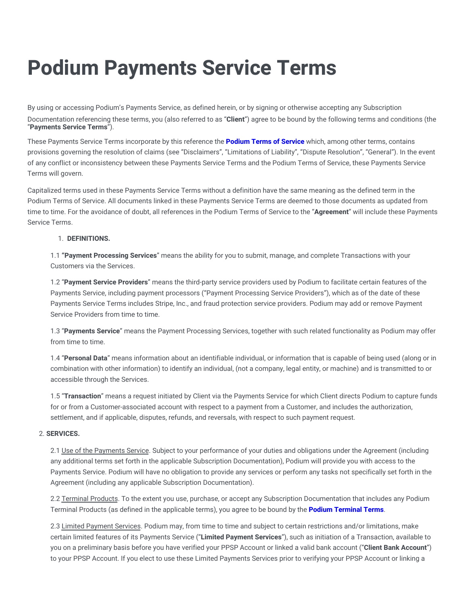# **Podium Payments Service Terms**

By using or accessing Podium's Payments Service, as defined herein, or by signing or otherwise accepting any Subscription Documentation referencing these terms, you (also referred to as "**Client**") agree to be bound by the following terms and conditions (the "**Payments Service Terms**").

These Payments Service Terms incorporate by this reference the **[Podium](https://legal.podium.com/#termsofservice-us) Terms of Service** which, among other terms, contains provisions governing the resolution of claims (see "Disclaimers", "Limitations of Liability", "Dispute Resolution", "General"). In the event of any conflict or inconsistency between these Payments Service Terms and the Podium Terms of Service, these Payments Service Terms will govern.

Capitalized terms used in these Payments Service Terms without a definition have the same meaning as the defined term in the Podium Terms of Service. All documents linked in these Payments Service Terms are deemed to those documents as updated from time to time. For the avoidance of doubt, all references in the Podium Terms of Service to the "**Agreement**" will include these Payments Service Terms.

#### 1. **DEFINITIONS.**

1.1 **"Payment Processing Services**" means the ability for you to submit, manage, and complete Transactions with your Customers via the Services.

1.2 "**Payment Service Providers**" means the third-party service providers used by Podium to facilitate certain features of the Payments Service, including payment processors ("Payment Processing Service Providers"), which as of the date of these Payments Service Terms includes Stripe, Inc., and fraud protection service providers. Podium may add or remove Payment Service Providers from time to time.

1.3 "**Payments Service**" means the Payment Processing Services, together with such related functionality as Podium may offer from time to time.

1.4 "**Personal Data**" means information about an identifiable individual, or information that is capable of being used (along or in combination with other information) to identify an individual, (not a company, legal entity, or machine) and is transmitted to or accessible through the Services.

1.5 "**Transaction**" means a request initiated by Client via the Payments Service for which Client directs Podium to capture funds for or from a Customer-associated account with respect to a payment from a Customer, and includes the authorization, settlement, and if applicable, disputes, refunds, and reversals, with respect to such payment request.

## 2. **SERVICES.**

2.1 Use of the Payments Service. Subject to your performance of your duties and obligations under the Agreement (including any additional terms set forth in the applicable Subscription Documentation), Podium will provide you with access to the Payments Service. Podium will have no obligation to provide any services or perform any tasks not specifically set forth in the Agreement (including any applicable Subscription Documentation).

2.2 Terminal Products. To the extent you use, purchase, or accept any Subscription Documentation that includes any Podium Terminal Products (as defined in the applicable terms), you agree to be bound by the **Podium [Terminal](https://legal.podium.com/#cardreaders) Terms**.

2.3 Limited Payment Services. Podium may, from time to time and subject to certain restrictions and/or limitations, make certain limited features of its Payments Service ("**Limited Payment Services**"), such as initiation of a Transaction, available to you on a preliminary basis before you have verified your PPSP Account or linked a valid bank account ("**Client Bank Account**") to your PPSP Account. If you elect to use these Limited Payments Services prior to verifying your PPSP Account or linking a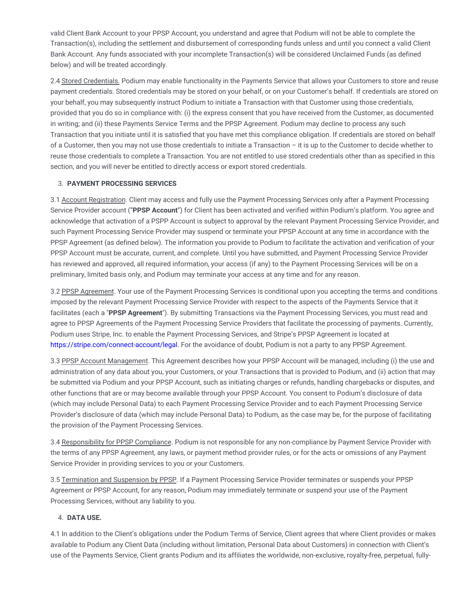valid Client Bank Account to your PPSP Account, you understand and agree that Podium will not be able to complete the Transaction(s), including the settlement and disbursement of corresponding funds unless and until you connect a valid Client Bank Account. Any funds associated with your incomplete Transaction(s) will be considered Unclaimed Funds (as defined below) and will be treated accordingly.

2.4 Stored Credentials. Podium may enable functionality in the Payments Service that allows your Customers to store and reuse payment credentials. Stored credentials may be stored on your behalf, or on your Customer's behalf. If credentials are stored on your behalf, you may subsequently instruct Podium to initiate a Transaction with that Customer using those credentials, provided that you do so in compliance with: (i) the express consent that you have received from the Customer, as documented in writing; and (ii) these Payments Service Terms and the PPSP Agreement. Podium may decline to process any such Transaction that you initiate until it is satisfied that you have met this compliance obligation. If credentials are stored on behalf of a Customer, then you may not use those credentials to initiate a Transaction – it is up to the Customer to decide whether to reuse those credentials to complete a Transaction. You are not entitled to use stored credentials other than as specified in this section, and you will never be entitled to directly access or export stored credentials.

## 3. **PAYMENT PROCESSING SERVICES**

3.1 Account Registration. Client may access and fully use the Payment Processing Services only after a Payment Processing Service Provider account ("**PPSP Account**") for Client has been activated and verified within Podium's platform. You agree and acknowledge that activation of a PSPP Account is subject to approval by the relevant Payment Processing Service Provider, and such Payment Processing Service Provider may suspend or terminate your PPSP Account at any time in accordance with the PPSP Agreement (as defined below). The information you provide to Podium to facilitate the activation and verification of your PPSP Account must be accurate, current, and complete. Until you have submitted, and Payment Processing Service Provider has reviewed and approved, all required information, your access (if any) to the Payment Processing Services will be on a preliminary, limited basis only, and Podium may terminate your access at any time and for any reason.

3.2 PPSP Agreement. Your use of the Payment Processing Services is conditional upon you accepting the terms and conditions imposed by the relevant Payment Processing Service Provider with respect to the aspects of the Payments Service that it facilitates (each a "**PPSP Agreement**"). By submitting Transactions via the Payment Processing Services, you must read and agree to PPSP Agreements of the Payment Processing Service Providers that facilitate the processing of payments. Currently, Podium uses Stripe, Inc. to enable the Payment Processing Services, and Stripe's PPSP Agreement is located at [https://stripe.com/connect-account/legal.](https://stripe.com/connect-account/legal) For the avoidance of doubt, Podium is not a party to any PPSP Agreement.

3.3 PPSP Account Management. This Agreement describes how your PPSP Account will be managed, including (i) the use and administration of any data about you, your Customers, or your Transactions that is provided to Podium, and (ii) action that may be submitted via Podium and your PPSP Account, such as initiating charges or refunds, handling chargebacks or disputes, and other functions that are or may become available through your PPSP Account. You consent to Podium's disclosure of data (which may include Personal Data) to each Payment Processing Service Provider and to each Payment Processing Service Provider's disclosure of data (which may include Personal Data) to Podium, as the case may be, for the purpose of facilitating the provision of the Payment Processing Services.

3.4 Responsibility for PPSP Compliance. Podium is not responsible for any non-compliance by Payment Service Provider with the terms of any PPSP Agreement, any laws, or payment method provider rules, or for the acts or omissions of any Payment Service Provider in providing services to you or your Customers.

3.5 Termination and Suspension by PPSP. If a Payment Processing Service Provider terminates or suspends your PPSP Agreement or PPSP Account, for any reason, Podium may immediately terminate or suspend your use of the Payment Processing Services, without any liability to you.

#### 4. **DATA USE.**

4.1 In addition to the Client's obligations under the Podium Terms of Service, Client agrees that where Client provides or makes available to Podium any Client Data (including without limitation, Personal Data about Customers) in connection with Client's use of the Payments Service, Client grants Podium and its affiliates the worldwide, non-exclusive, royalty-free, perpetual, fully-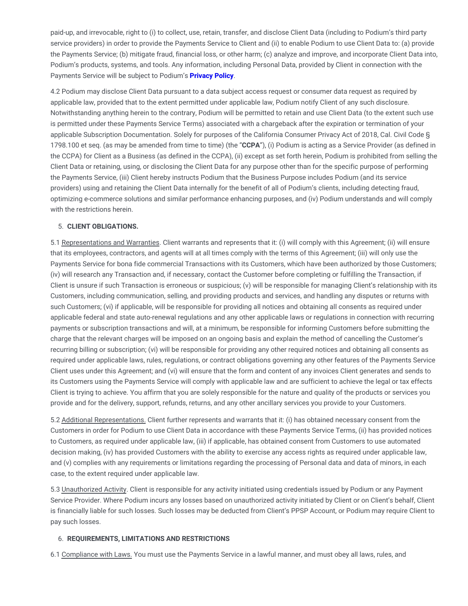paid-up, and irrevocable, right to (i) to collect, use, retain, transfer, and disclose Client Data (including to Podium's third party service providers) in order to provide the Payments Service to Client and (ii) to enable Podium to use Client Data to: (a) provide the Payments Service; (b) mitigate fraud, financial loss, or other harm; (c) analyze and improve, and incorporate Client Data into, Podium's products, systems, and tools. Any information, including Personal Data, provided by Client in connection with the Payments Service will be subject to Podium's **[Privacy](https://legal.podium.com/#privacypolicy-us) Policy**.

4.2 Podium may disclose Client Data pursuant to a data subject access request or consumer data request as required by applicable law, provided that to the extent permitted under applicable law, Podium notify Client of any such disclosure. Notwithstanding anything herein to the contrary, Podium will be permitted to retain and use Client Data (to the extent such use is permitted under these Payments Service Terms) associated with a chargeback after the expiration or termination of your applicable Subscription Documentation. Solely for purposes of the California Consumer Privacy Act of 2018, Cal. Civil Code § 1798.100 et seq. (as may be amended from time to time) (the "**CCPA**"), (i) Podium is acting as a Service Provider (as defined in the CCPA) for Client as a Business (as defined in the CCPA), (ii) except as set forth herein, Podium is prohibited from selling the Client Data or retaining, using, or disclosing the Client Data for any purpose other than for the specific purpose of performing the Payments Service, (iii) Client hereby instructs Podium that the Business Purpose includes Podium (and its service providers) using and retaining the Client Data internally for the benefit of all of Podium's clients, including detecting fraud, optimizing e-commerce solutions and similar performance enhancing purposes, and (iv) Podium understands and will comply with the restrictions herein.

#### 5. **CLIENT OBLIGATIONS.**

5.1 Representations and Warranties. Client warrants and represents that it: (i) will comply with this Agreement; (ii) will ensure that its employees, contractors, and agents will at all times comply with the terms of this Agreement; (iii) will only use the Payments Service for bona fide commercial Transactions with its Customers, which have been authorized by those Customers; (iv) will research any Transaction and, if necessary, contact the Customer before completing or fulfilling the Transaction, if Client is unsure if such Transaction is erroneous or suspicious; (v) will be responsible for managing Client's relationship with its Customers, including communication, selling, and providing products and services, and handling any disputes or returns with such Customers; (vi) if applicable, will be responsible for providing all notices and obtaining all consents as required under applicable federal and state auto-renewal regulations and any other applicable laws or regulations in connection with recurring payments or subscription transactions and will, at a minimum, be responsible for informing Customers before submitting the charge that the relevant charges will be imposed on an ongoing basis and explain the method of cancelling the Customer's recurring billing or subscription; (vi) will be responsible for providing any other required notices and obtaining all consents as required under applicable laws, rules, regulations, or contract obligations governing any other features of the Payments Service Client uses under this Agreement; and (vi) will ensure that the form and content of any invoices Client generates and sends to its Customers using the Payments Service will comply with applicable law and are sufficient to achieve the legal or tax effects Client is trying to achieve. You affirm that you are solely responsible for the nature and quality of the products or services you provide and for the delivery, support, refunds, returns, and any other ancillary services you provide to your Customers.

5.2 Additional Representations. Client further represents and warrants that it: (i) has obtained necessary consent from the Customers in order for Podium to use Client Data in accordance with these Payments Service Terms, (ii) has provided notices to Customers, as required under applicable law, (iii) if applicable, has obtained consent from Customers to use automated decision making, (iv) has provided Customers with the ability to exercise any access rights as required under applicable law, and (v) complies with any requirements or limitations regarding the processing of Personal data and data of minors, in each case, to the extent required under applicable law.

5.3 Unauthorized Activity. Client is responsible for any activity initiated using credentials issued by Podium or any Payment Service Provider. Where Podium incurs any losses based on unauthorized activity initiated by Client or on Client's behalf, Client is financially liable for such losses. Such losses may be deducted from Client's PPSP Account, or Podium may require Client to pay such losses.

#### 6. **REQUIREMENTS, LIMITATIONS AND RESTRICTIONS**

6.1 Compliance with Laws. You must use the Payments Service in a lawful manner, and must obey all laws, rules, and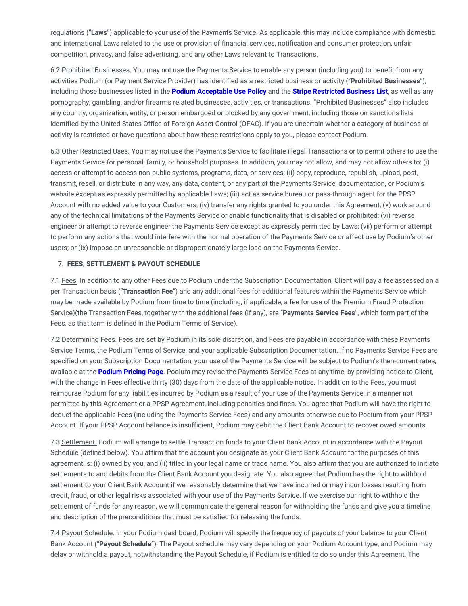regulations ("**Laws**") applicable to your use of the Payments Service. As applicable, this may include compliance with domestic and international Laws related to the use or provision of financial services, notification and consumer protection, unfair competition, privacy, and false advertising, and any other Laws relevant to Transactions.

6.2 Prohibited Businesses. You may not use the Payments Service to enable any person (including you) to benefit from any activities Podium (or Payment Service Provider) has identified as a restricted business or activity ("**Prohibited Businesses**"), including those businesses listed in the **Podium [Acceptable](https://legal.podium.com/#aup-us) Use Policy** and the **Stripe [Restricted](https://stripe.com/restricted-businesses) Business List**, as well as any pornography, gambling, and/or firearms related businesses, activities, or transactions. "Prohibited Businesses" also includes any country, organization, entity, or person embargoed or blocked by any government, including those on sanctions lists identified by the United States Office of Foreign Asset Control (OFAC). If you are uncertain whether a category of business or activity is restricted or have questions about how these restrictions apply to you, please contact Podium.

6.3 Other Restricted Uses. You may not use the Payments Service to facilitate illegal Transactions or to permit others to use the Payments Service for personal, family, or household purposes. In addition, you may not allow, and may not allow others to: (i) access or attempt to access non-public systems, programs, data, or services; (ii) copy, reproduce, republish, upload, post, transmit, resell, or distribute in any way, any data, content, or any part of the Payments Service, documentation, or Podium's website except as expressly permitted by applicable Laws; (iii) act as service bureau or pass-through agent for the PPSP Account with no added value to your Customers; (iv) transfer any rights granted to you under this Agreement; (v) work around any of the technical limitations of the Payments Service or enable functionality that is disabled or prohibited; (vi) reverse engineer or attempt to reverse engineer the Payments Service except as expressly permitted by Laws; (vii) perform or attempt to perform any actions that would interfere with the normal operation of the Payments Service or affect use by Podium's other users; or (ix) impose an unreasonable or disproportionately large load on the Payments Service.

#### 7. **FEES, SETTLEMENT & PAYOUT SCHEDULE**

7.1 Fees. In addition to any other Fees due to Podium under the Subscription Documentation, Client will pay a fee assessed on a per Transaction basis ("**Transaction Fee**") and any additional fees for additional features within the Payments Service which may be made available by Podium from time to time (including, if applicable, a fee for use of the Premium Fraud Protection Service)(the Transaction Fees, together with the additional fees (if any), are "**Payments Service Fees**", which form part of the Fees, as that term is defined in the Podium Terms of Service).

7.2 Determining Fees. Fees are set by Podium in its sole discretion, and Fees are payable in accordance with these Payments Service Terms, the Podium Terms of Service, and your applicable Subscription Documentation. If no Payments Service Fees are specified on your Subscription Documentation, your use of the Payments Service will be subject to Podium's then-current rates, available at the **[Podium](https://www.podium.com/pricing/) Pricing Page**. Podium may revise the Payments Service Fees at any time, by providing notice to Client, with the change in Fees effective thirty (30) days from the date of the applicable notice. In addition to the Fees, you must reimburse Podium for any liabilities incurred by Podium as a result of your use of the Payments Service in a manner not permitted by this Agreement or a PPSP Agreement, including penalties and fines. You agree that Podium will have the right to deduct the applicable Fees (including the Payments Service Fees) and any amounts otherwise due to Podium from your PPSP Account. If your PPSP Account balance is insufficient, Podium may debit the Client Bank Account to recover owed amounts.

7.3 Settlement. Podium will arrange to settle Transaction funds to your Client Bank Account in accordance with the Payout Schedule (defined below). You affirm that the account you designate as your Client Bank Account for the purposes of this agreement is: (i) owned by you, and (ii) titled in your legal name or trade name. You also affirm that you are authorized to initiate settlements to and debits from the Client Bank Account you designate. You also agree that Podium has the right to withhold settlement to your Client Bank Account if we reasonably determine that we have incurred or may incur losses resulting from credit, fraud, or other legal risks associated with your use of the Payments Service. If we exercise our right to withhold the settlement of funds for any reason, we will communicate the general reason for withholding the funds and give you a timeline and description of the preconditions that must be satisfied for releasing the funds.

7.4 Payout Schedule. In your Podium dashboard, Podium will specify the frequency of payouts of your balance to your Client Bank Account ("**Payout Schedule**"). The Payout schedule may vary depending on your Podium Account type, and Podium may delay or withhold a payout, notwithstanding the Payout Schedule, if Podium is entitled to do so under this Agreement. The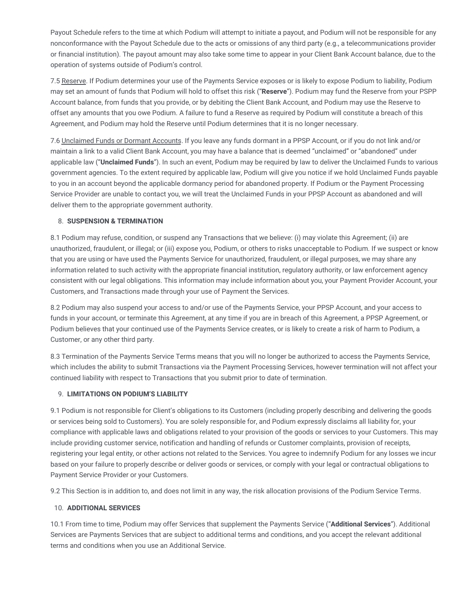Payout Schedule refers to the time at which Podium will attempt to initiate a payout, and Podium will not be responsible for any nonconformance with the Payout Schedule due to the acts or omissions of any third party (e.g., a telecommunications provider or financial institution). The payout amount may also take some time to appear in your Client Bank Account balance, due to the operation of systems outside of Podium's control.

7.5 Reserve. If Podium determines your use of the Payments Service exposes or is likely to expose Podium to liability, Podium may set an amount of funds that Podium will hold to offset this risk ("**Reserve**"). Podium may fund the Reserve from your PSPP Account balance, from funds that you provide, or by debiting the Client Bank Account, and Podium may use the Reserve to offset any amounts that you owe Podium. A failure to fund a Reserve as required by Podium will constitute a breach of this Agreement, and Podium may hold the Reserve until Podium determines that it is no longer necessary.

7.6 Unclaimed Funds or Dormant Accounts. If you leave any funds dormant in a PPSP Account, or if you do not link and/or maintain a link to a valid Client Bank Account, you may have a balance that is deemed "unclaimed" or "abandoned" under applicable law ("**Unclaimed Funds**"). In such an event, Podium may be required by law to deliver the Unclaimed Funds to various government agencies. To the extent required by applicable law, Podium will give you notice if we hold Unclaimed Funds payable to you in an account beyond the applicable dormancy period for abandoned property. If Podium or the Payment Processing Service Provider are unable to contact you, we will treat the Unclaimed Funds in your PPSP Account as abandoned and will deliver them to the appropriate government authority.

#### 8. **SUSPENSION & TERMINATION**

8.1 Podium may refuse, condition, or suspend any Transactions that we believe: (i) may violate this Agreement; (ii) are unauthorized, fraudulent, or illegal; or (iii) expose you, Podium, or others to risks unacceptable to Podium. If we suspect or know that you are using or have used the Payments Service for unauthorized, fraudulent, or illegal purposes, we may share any information related to such activity with the appropriate financial institution, regulatory authority, or law enforcement agency consistent with our legal obligations. This information may include information about you, your Payment Provider Account, your Customers, and Transactions made through your use of Payment the Services.

8.2 Podium may also suspend your access to and/or use of the Payments Service, your PPSP Account, and your access to funds in your account, or terminate this Agreement, at any time if you are in breach of this Agreement, a PPSP Agreement, or Podium believes that your continued use of the Payments Service creates, or is likely to create a risk of harm to Podium, a Customer, or any other third party.

8.3 Termination of the Payments Service Terms means that you will no longer be authorized to access the Payments Service, which includes the ability to submit Transactions via the Payment Processing Services, however termination will not affect your continued liability with respect to Transactions that you submit prior to date of termination.

#### 9. **LIMITATIONS ON PODIUM'S LIABILITY**

9.1 Podium is not responsible for Client's obligations to its Customers (including properly describing and delivering the goods or services being sold to Customers). You are solely responsible for, and Podium expressly disclaims all liability for, your compliance with applicable laws and obligations related to your provision of the goods or services to your Customers. This may include providing customer service, notification and handling of refunds or Customer complaints, provision of receipts, registering your legal entity, or other actions not related to the Services. You agree to indemnify Podium for any losses we incur based on your failure to properly describe or deliver goods or services, or comply with your legal or contractual obligations to Payment Service Provider or your Customers.

9.2 This Section is in addition to, and does not limit in any way, the risk allocation provisions of the Podium Service Terms.

#### 10. **ADDITIONAL SERVICES**

10.1 From time to time, Podium may offer Services that supplement the Payments Service ("**Additional Services**"). Additional Services are Payments Services that are subject to additional terms and conditions, and you accept the relevant additional terms and conditions when you use an Additional Service.